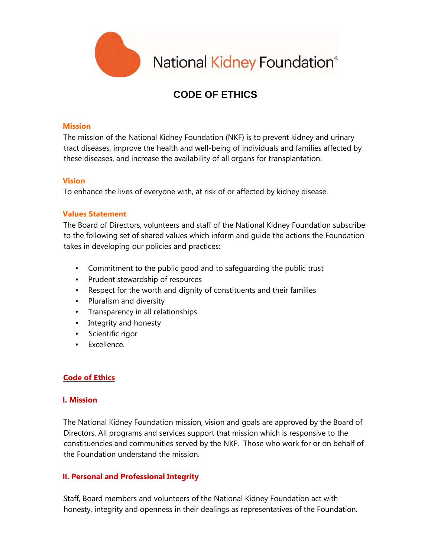

National Kidney Foundation®

# **CODE OF ETHICS**

### **Mission**

The mission of the National Kidney Foundation (NKF) is to prevent kidney and urinary tract diseases, improve the health and well-being of individuals and families affected by these diseases, and increase the availability of all organs for transplantation.

### **Vision**

To enhance the lives of everyone with, at risk of or affected by kidney disease.

### **Values Statement**

The Board of Directors, volunteers and staff of the National Kidney Foundation subscribe to the following set of shared values which inform and guide the actions the Foundation takes in developing our policies and practices:

- Commitment to the public good and to safeguarding the public trust
- Prudent stewardship of resources
- Respect for the worth and dignity of constituents and their families
- Pluralism and diversity
- Transparency in all relationships
- Integrity and honesty
- Scientific rigor
- Excellence.

# **Code of Ethics**

### **I. Mission**

The National Kidney Foundation mission, vision and goals are approved by the Board of Directors. All programs and services support that mission which is responsive to the constituencies and communities served by the NKF. Those who work for or on behalf of the Foundation understand the mission.

### **II. Personal and Professional Integrity**

Staff, Board members and volunteers of the National Kidney Foundation act with honesty, integrity and openness in their dealings as representatives of the Foundation.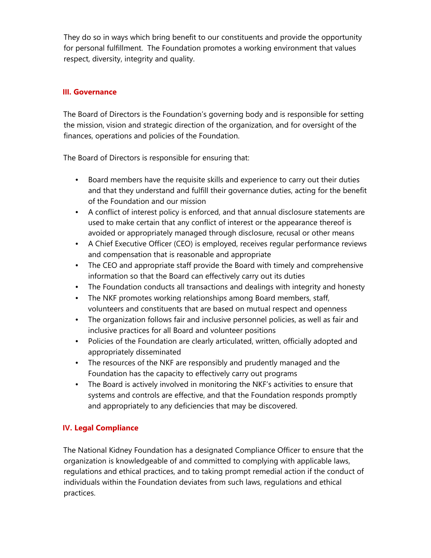They do so in ways which bring benefit to our constituents and provide the opportunity for personal fulfillment. The Foundation promotes a working environment that values respect, diversity, integrity and quality.

# **III. Governance**

The Board of Directors is the Foundation's governing body and is responsible for setting the mission, vision and strategic direction of the organization, and for oversight of the finances, operations and policies of the Foundation.

The Board of Directors is responsible for ensuring that:

- Board members have the requisite skills and experience to carry out their duties and that they understand and fulfill their governance duties, acting for the benefit of the Foundation and our mission
- A conflict of interest policy is enforced, and that annual disclosure statements are used to make certain that any conflict of interest or the appearance thereof is avoided or appropriately managed through disclosure, recusal or other means
- A Chief Executive Officer (CEO) is employed, receives regular performance reviews and compensation that is reasonable and appropriate
- The CEO and appropriate staff provide the Board with timely and comprehensive information so that the Board can effectively carry out its duties
- The Foundation conducts all transactions and dealings with integrity and honesty
- The NKF promotes working relationships among Board members, staff, volunteers and constituents that are based on mutual respect and openness
- The organization follows fair and inclusive personnel policies, as well as fair and inclusive practices for all Board and volunteer positions
- Policies of the Foundation are clearly articulated, written, officially adopted and appropriately disseminated
- The resources of the NKF are responsibly and prudently managed and the Foundation has the capacity to effectively carry out programs
- The Board is actively involved in monitoring the NKF's activities to ensure that systems and controls are effective, and that the Foundation responds promptly and appropriately to any deficiencies that may be discovered.

# **IV. Legal Compliance**

The National Kidney Foundation has a designated Compliance Officer to ensure that the organization is knowledgeable of and committed to complying with applicable laws, regulations and ethical practices, and to taking prompt remedial action if the conduct of individuals within the Foundation deviates from such laws, regulations and ethical practices.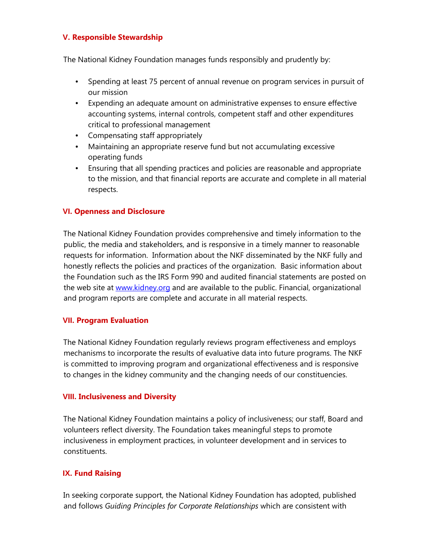### **V. Responsible Stewardship**

The National Kidney Foundation manages funds responsibly and prudently by:

- Spending at least 75 percent of annual revenue on program services in pursuit of our mission
- Expending an adequate amount on administrative expenses to ensure effective accounting systems, internal controls, competent staff and other expenditures critical to professional management
- Compensating staff appropriately
- Maintaining an appropriate reserve fund but not accumulating excessive operating funds
- Ensuring that all spending practices and policies are reasonable and appropriate to the mission, and that financial reports are accurate and complete in all material respects.

### **VI. Openness and Disclosure**

The National Kidney Foundation provides comprehensive and timely information to the public, the media and stakeholders, and is responsive in a timely manner to reasonable requests for information. Information about the NKF disseminated by the NKF fully and honestly reflects the policies and practices of the organization. Basic information about the Foundation such as the IRS Form 990 and audited financial statements are posted on the web site at www.kidney.org and are available to the public. Financial, organizational and program reports are complete and accurate in all material respects.

### **VII. Program Evaluation**

The National Kidney Foundation regularly reviews program effectiveness and employs mechanisms to incorporate the results of evaluative data into future programs. The NKF is committed to improving program and organizational effectiveness and is responsive to changes in the kidney community and the changing needs of our constituencies.

### **VIII. Inclusiveness and Diversity**

The National Kidney Foundation maintains a policy of inclusiveness; our staff, Board and volunteers reflect diversity. The Foundation takes meaningful steps to promote inclusiveness in employment practices, in volunteer development and in services to constituents.

# **IX. Fund Raising**

In seeking corporate support, the National Kidney Foundation has adopted, published and follows *Guiding Principles for Corporate Relationships* which are consistent with